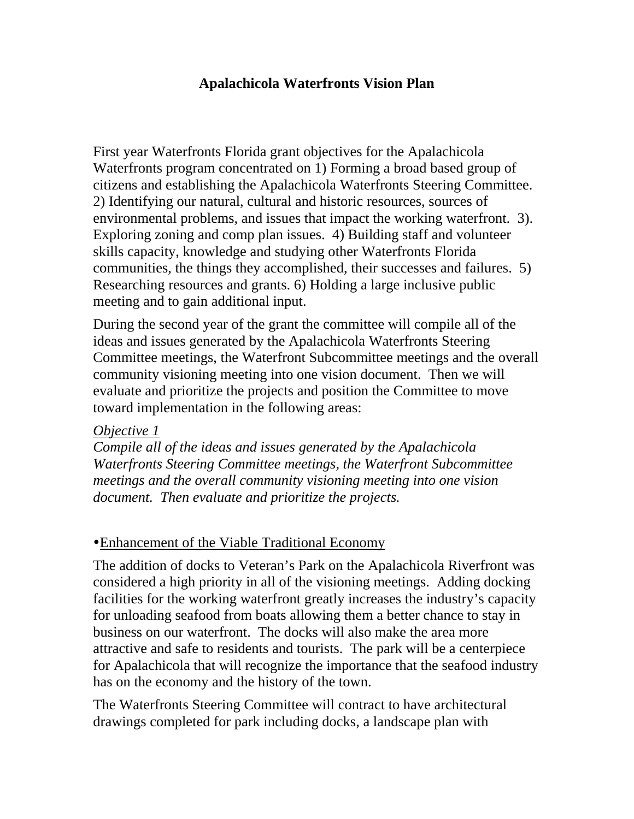#### **Apalachicola Waterfronts Vision Plan**

First year Waterfronts Florida grant objectives for the Apalachicola Waterfronts program concentrated on 1) Forming a broad based group of citizens and establishing the Apalachicola Waterfronts Steering Committee. 2) Identifying our natural, cultural and historic resources, sources of environmental problems, and issues that impact the working waterfront. 3). Exploring zoning and comp plan issues. 4) Building staff and volunteer skills capacity, knowledge and studying other Waterfronts Florida communities, the things they accomplished, their successes and failures. 5) Researching resources and grants. 6) Holding a large inclusive public meeting and to gain additional input.

During the second year of the grant the committee will compile all of the ideas and issues generated by the Apalachicola Waterfronts Steering Committee meetings, the Waterfront Subcommittee meetings and the overall community visioning meeting into one vision document. Then we will evaluate and prioritize the projects and position the Committee to move toward implementation in the following areas:

#### *Objective 1*

*Compile all of the ideas and issues generated by the Apalachicola Waterfronts Steering Committee meetings, the Waterfront Subcommittee meetings and the overall community visioning meeting into one vision document. Then evaluate and prioritize the projects.* 

#### • Enhancement of the Viable Traditional Economy

The addition of docks to Veteran's Park on the Apalachicola Riverfront was considered a high priority in all of the visioning meetings. Adding docking facilities for the working waterfront greatly increases the industry's capacity for unloading seafood from boats allowing them a better chance to stay in business on our waterfront. The docks will also make the area more attractive and safe to residents and tourists. The park will be a centerpiece for Apalachicola that will recognize the importance that the seafood industry has on the economy and the history of the town.

The Waterfronts Steering Committee will contract to have architectural drawings completed for park including docks, a landscape plan with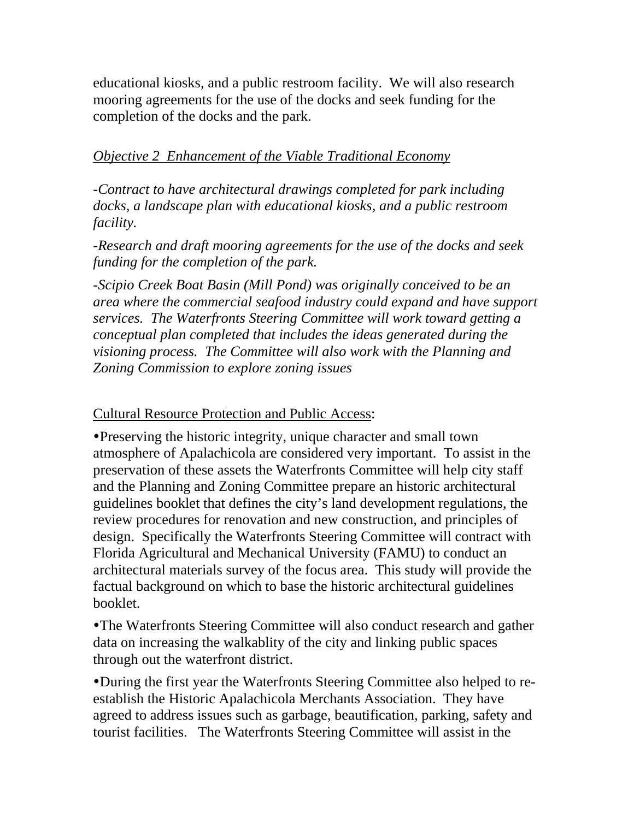educational kiosks, and a public restroom facility. We will also research mooring agreements for the use of the docks and seek funding for the completion of the docks and the park.

### *Objective 2 Enhancement of the Viable Traditional Economy*

*-Contract to have architectural drawings completed for park including docks, a landscape plan with educational kiosks, and a public restroom facility.* 

*-Research and draft mooring agreements for the use of the docks and seek funding for the completion of the park.* 

-*Scipio Creek Boat Basin (Mill Pond) was originally conceived to be an area where the commercial seafood industry could expand and have support services. The Waterfronts Steering Committee will work toward getting a conceptual plan completed that includes the ideas generated during the visioning process. The Committee will also work with the Planning and Zoning Commission to explore zoning issues* 

Cultural Resource Protection and Public Access:

• Preserving the historic integrity, unique character and small town atmosphere of Apalachicola are considered very important. To assist in the preservation of these assets the Waterfronts Committee will help city staff and the Planning and Zoning Committee prepare an historic architectural guidelines booklet that defines the city's land development regulations, the review procedures for renovation and new construction, and principles of design. Specifically the Waterfronts Steering Committee will contract with Florida Agricultural and Mechanical University (FAMU) to conduct an architectural materials survey of the focus area. This study will provide the factual background on which to base the historic architectural guidelines booklet.

• The Waterfronts Steering Committee will also conduct research and gather data on increasing the walkablity of the city and linking public spaces through out the waterfront district.

• During the first year the Waterfronts Steering Committee also helped to reestablish the Historic Apalachicola Merchants Association. They have agreed to address issues such as garbage, beautification, parking, safety and tourist facilities. The Waterfronts Steering Committee will assist in the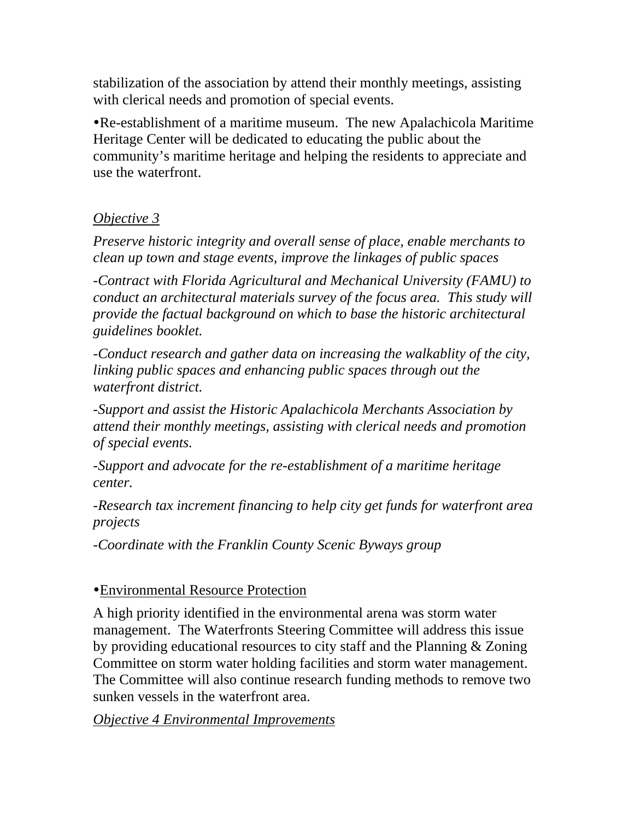stabilization of the association by attend their monthly meetings, assisting with clerical needs and promotion of special events.

yRe-establishment of a maritime museum. The new Apalachicola Maritime Heritage Center will be dedicated to educating the public about the community's maritime heritage and helping the residents to appreciate and use the waterfront.

# *Objective 3*

*Preserve historic integrity and overall sense of place, enable merchants to clean up town and stage events, improve the linkages of public spaces* 

*-Contract with Florida Agricultural and Mechanical University (FAMU) to conduct an architectural materials survey of the focus area. This study will provide the factual background on which to base the historic architectural guidelines booklet.* 

*-Conduct research and gather data on increasing the walkablity of the city, linking public spaces and enhancing public spaces through out the waterfront district.* 

*-Support and assist the Historic Apalachicola Merchants Association by attend their monthly meetings, assisting with clerical needs and promotion of special events.* 

*-Support and advocate for the re-establishment of a maritime heritage center.* 

*-Research tax increment financing to help city get funds for waterfront area projects* 

*-Coordinate with the Franklin County Scenic Byways group* 

# yEnvironmental Resource Protection

A high priority identified in the environmental arena was storm water management. The Waterfronts Steering Committee will address this issue by providing educational resources to city staff and the Planning & Zoning Committee on storm water holding facilities and storm water management. The Committee will also continue research funding methods to remove two sunken vessels in the waterfront area.

# *Objective 4 Environmental Improvements*